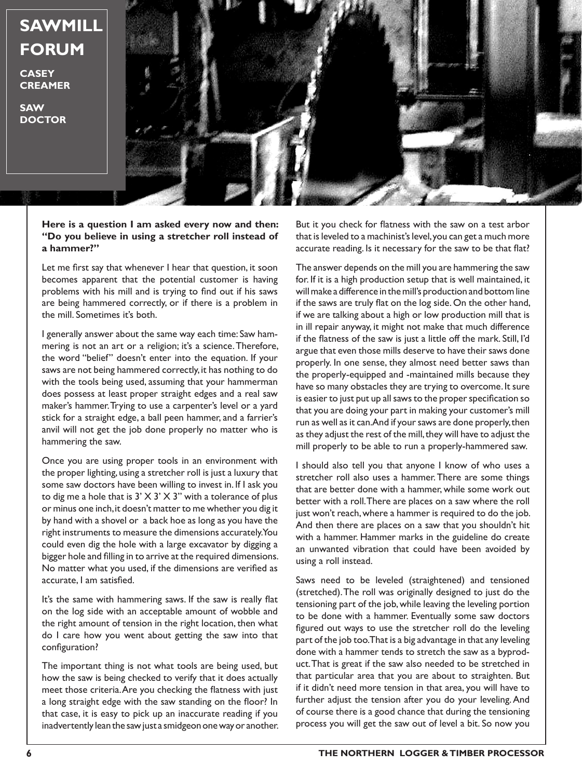

**CASEY CREAMER**

**SAW DOCTOR**



**Here is a question I am asked every now and then: "Do you believe in using a stretcher roll instead of a hammer?"**

Let me first say that whenever I hear that question, it soon becomes apparent that the potential customer is having problems with his mill and is trying to find out if his saws are being hammered correctly, or if there is a problem in the mill. Sometimes it's both.

I generally answer about the same way each time: Saw hammering is not an art or a religion; it's a science. Therefore, the word "belief" doesn't enter into the equation. If your saws are not being hammered correctly, it has nothing to do with the tools being used, assuming that your hammerman does possess at least proper straight edges and a real saw maker's hammer. Trying to use a carpenter's level or a yard stick for a straight edge, a ball peen hammer, and a farrier's anvil will not get the job done properly no matter who is hammering the saw.

Once you are using proper tools in an environment with the proper lighting, using a stretcher roll is just a luxury that some saw doctors have been willing to invest in. If I ask you to dig me a hole that is  $3' \times 3' \times 3''$  with a tolerance of plus or minus one inch, it doesn't matter to me whether you dig it by hand with a shovel or a back hoe as long as you have the right instruments to measure the dimensions accurately. You could even dig the hole with a large excavator by digging a bigger hole and filling in to arrive at the required dimensions. No matter what you used, if the dimensions are verified as accurate, I am satisfied.

It's the same with hammering saws. If the saw is really flat on the log side with an acceptable amount of wobble and the right amount of tension in the right location, then what do I care how you went about getting the saw into that configuration?

The important thing is not what tools are being used, but how the saw is being checked to verify that it does actually meet those criteria. Are you checking the flatness with just a long straight edge with the saw standing on the floor? In that case, it is easy to pick up an inaccurate reading if you inadvertently lean the saw just a smidgeon one way or another.

But it you check for flatness with the saw on a test arbor that is leveled to a machinist's level, you can get a much more accurate reading. Is it necessary for the saw to be that flat?

The answer depends on the mill you are hammering the saw for. If it is a high production setup that is well maintained, it will make a difference in the mill's production and bottom line if the saws are truly flat on the log side. On the other hand, if we are talking about a high or low production mill that is in ill repair anyway, it might not make that much difference if the flatness of the saw is just a little off the mark. Still, I'd argue that even those mills deserve to have their saws done properly. In one sense, they almost need better saws than the properly-equipped and -maintained mills because they have so many obstacles they are trying to overcome. It sure is easier to just put up all saws to the proper specification so that you are doing your part in making your customer's mill run as well as it can. And if your saws are done properly, then as they adjust the rest of the mill, they will have to adjust the mill properly to be able to run a properly-hammered saw.

I should also tell you that anyone I know of who uses a stretcher roll also uses a hammer. There are some things that are better done with a hammer, while some work out better with a roll. There are places on a saw where the roll just won't reach, where a hammer is required to do the job. And then there are places on a saw that you shouldn't hit with a hammer. Hammer marks in the guideline do create an unwanted vibration that could have been avoided by using a roll instead.

Saws need to be leveled (straightened) and tensioned (stretched). The roll was originally designed to just do the tensioning part of the job, while leaving the leveling portion to be done with a hammer. Eventually some saw doctors figured out ways to use the stretcher roll do the leveling part of the job too. That is a big advantage in that any leveling done with a hammer tends to stretch the saw as a byproduct. That is great if the saw also needed to be stretched in that particular area that you are about to straighten. But if it didn't need more tension in that area, you will have to further adjust the tension after you do your leveling. And of course there is a good chance that during the tensioning process you will get the saw out of level a bit. So now you